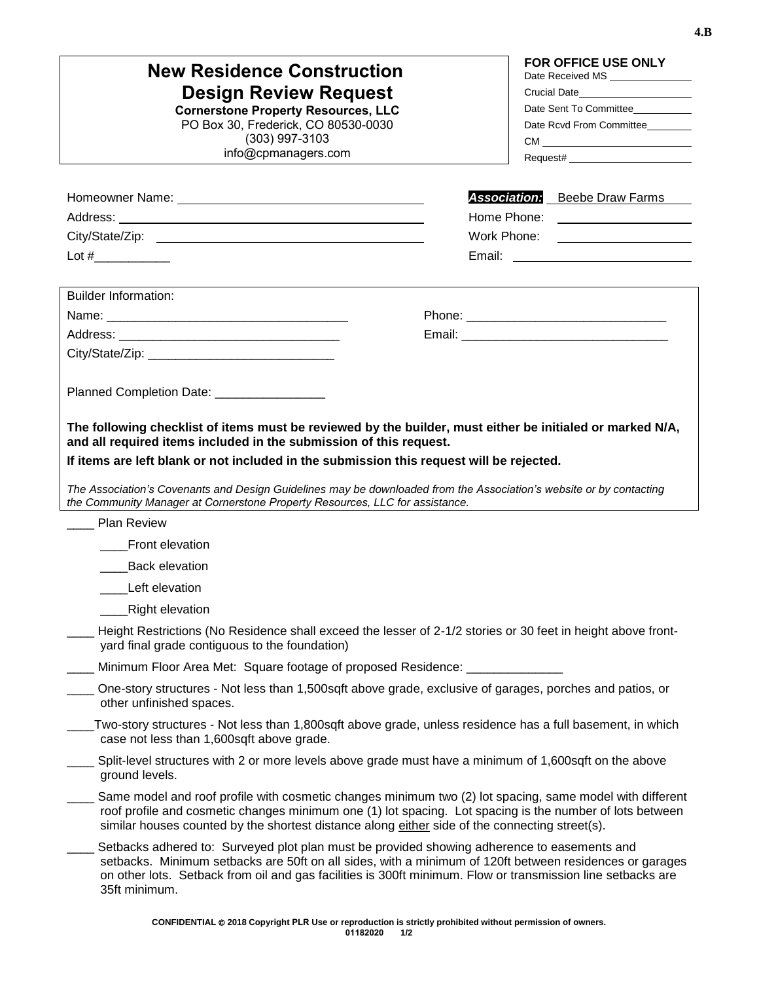| <b>New Residence Construction</b><br><b>Design Review Request</b><br><b>Cornerstone Property Resources, LLC</b><br>PO Box 30, Frederick, CO 80530-0030<br>$(303)$ 997-3103<br>info@cpmanagers.com                                                                                                                                                                                                                                                                                  | FOR OFFICE USE ONLY<br>Date Received MS<br>Crucial Date_______________________<br>Date Sent To Committee<br>Date Rcvd From Committee |
|------------------------------------------------------------------------------------------------------------------------------------------------------------------------------------------------------------------------------------------------------------------------------------------------------------------------------------------------------------------------------------------------------------------------------------------------------------------------------------|--------------------------------------------------------------------------------------------------------------------------------------|
|                                                                                                                                                                                                                                                                                                                                                                                                                                                                                    | <b>Association:</b> Beebe Draw Farms                                                                                                 |
|                                                                                                                                                                                                                                                                                                                                                                                                                                                                                    | Home Phone: ____________________                                                                                                     |
|                                                                                                                                                                                                                                                                                                                                                                                                                                                                                    | Work Phone: _____________________                                                                                                    |
|                                                                                                                                                                                                                                                                                                                                                                                                                                                                                    |                                                                                                                                      |
| <b>Builder Information:</b>                                                                                                                                                                                                                                                                                                                                                                                                                                                        |                                                                                                                                      |
|                                                                                                                                                                                                                                                                                                                                                                                                                                                                                    |                                                                                                                                      |
|                                                                                                                                                                                                                                                                                                                                                                                                                                                                                    |                                                                                                                                      |
|                                                                                                                                                                                                                                                                                                                                                                                                                                                                                    |                                                                                                                                      |
| Planned Completion Date: [19]                                                                                                                                                                                                                                                                                                                                                                                                                                                      |                                                                                                                                      |
| The following checklist of items must be reviewed by the builder, must either be initialed or marked N/A,<br>and all required items included in the submission of this request.<br>If items are left blank or not included in the submission this request will be rejected.<br>The Association's Covenants and Design Guidelines may be downloaded from the Association's website or by contacting<br>the Community Manager at Cornerstone Property Resources, LLC for assistance. |                                                                                                                                      |
| <b>Plan Review</b>                                                                                                                                                                                                                                                                                                                                                                                                                                                                 |                                                                                                                                      |
| Front elevation                                                                                                                                                                                                                                                                                                                                                                                                                                                                    |                                                                                                                                      |
| <b>Back elevation</b>                                                                                                                                                                                                                                                                                                                                                                                                                                                              |                                                                                                                                      |
| Left elevation                                                                                                                                                                                                                                                                                                                                                                                                                                                                     |                                                                                                                                      |
| <b>Right elevation</b>                                                                                                                                                                                                                                                                                                                                                                                                                                                             |                                                                                                                                      |
| Height Restrictions (No Residence shall exceed the lesser of 2-1/2 stories or 30 feet in height above front-<br>yard final grade contiguous to the foundation)                                                                                                                                                                                                                                                                                                                     |                                                                                                                                      |
| Minimum Floor Area Met: Square footage of proposed Residence: ____________                                                                                                                                                                                                                                                                                                                                                                                                         |                                                                                                                                      |
| One-story structures - Not less than 1,500sqft above grade, exclusive of garages, porches and patios, or<br>other unfinished spaces.                                                                                                                                                                                                                                                                                                                                               |                                                                                                                                      |
| Two-story structures - Not less than 1,800sqft above grade, unless residence has a full basement, in which<br>case not less than 1,600sqft above grade.                                                                                                                                                                                                                                                                                                                            |                                                                                                                                      |
| Split-level structures with 2 or more levels above grade must have a minimum of 1,600sqft on the above<br>ground levels.                                                                                                                                                                                                                                                                                                                                                           |                                                                                                                                      |
| Same model and roof profile with cosmetic changes minimum two (2) lot spacing, same model with different<br>roof profile and cosmetic changes minimum one (1) lot spacing. Lot spacing is the number of lots between<br>similar houses counted by the shortest distance along either side of the connecting street(s).                                                                                                                                                             |                                                                                                                                      |
| Setbacks adhered to: Surveyed plot plan must be provided showing adherence to easements and<br>setbacks. Minimum setbacks are 50ft on all sides, with a minimum of 120ft between residences or garages<br>on other lots. Setback from oil and gas facilities is 300ft minimum. Flow or transmission line setbacks are<br>35ft minimum.                                                                                                                                             |                                                                                                                                      |